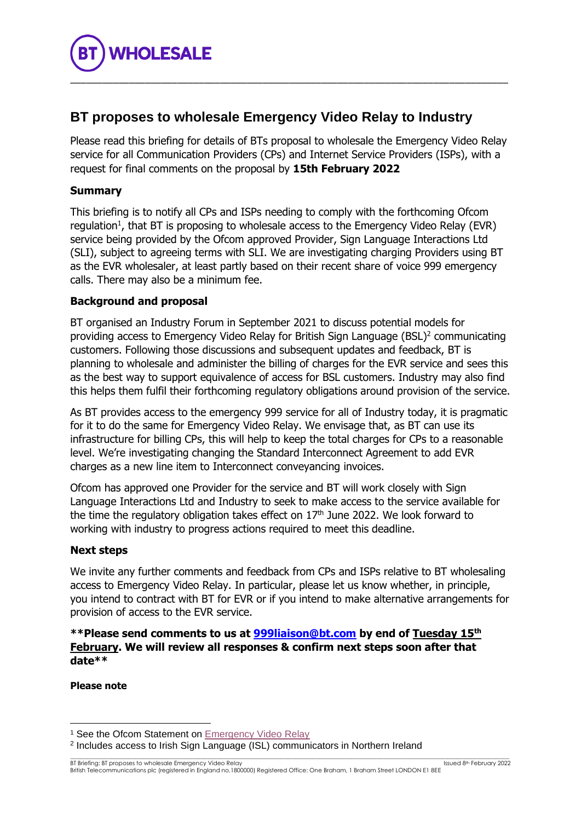**HOLESALE** \_\_\_\_\_\_\_\_\_\_\_\_\_\_\_\_\_\_\_\_\_\_\_\_\_\_\_\_\_\_\_\_\_\_\_\_\_\_\_\_\_\_\_\_\_\_\_\_\_\_\_\_\_\_\_\_\_\_\_\_\_\_\_\_\_\_\_\_\_\_\_\_\_\_\_\_\_\_\_\_\_\_

# **BT proposes to wholesale Emergency Video Relay to Industry**

Please read this briefing for details of BTs proposal to wholesale the Emergency Video Relay service for all Communication Providers (CPs) and Internet Service Providers (ISPs), with a request for final comments on the proposal by **15th February 2022**

# **Summary**

This briefing is to notify all CPs and ISPs needing to comply with the forthcoming Ofcom regulation<sup>1</sup>, that BT is proposing to wholesale access to the Emergency Video Relay (EVR) service being provided by the Ofcom approved Provider, Sign Language Interactions Ltd (SLI), subject to agreeing terms with SLI. We are investigating charging Providers using BT as the EVR wholesaler, at least partly based on their recent share of voice 999 emergency calls. There may also be a minimum fee.

# **Background and proposal**

BT organised an Industry Forum in September 2021 to discuss potential models for providing access to Emergency Video Relay for British Sign Language (BSL)<sup>2</sup> communicating customers. Following those discussions and subsequent updates and feedback, BT is planning to wholesale and administer the billing of charges for the EVR service and sees this as the best way to support equivalence of access for BSL customers. Industry may also find this helps them fulfil their forthcoming regulatory obligations around provision of the service.

As BT provides access to the emergency 999 service for all of Industry today, it is pragmatic for it to do the same for Emergency Video Relay. We envisage that, as BT can use its infrastructure for billing CPs, this will help to keep the total charges for CPs to a reasonable level. We're investigating changing the Standard Interconnect Agreement to add EVR charges as a new line item to Interconnect conveyancing invoices.

Ofcom has approved one Provider for the service and BT will work closely with Sign Language Interactions Ltd and Industry to seek to make access to the service available for the time the regulatory obligation takes effect on  $17<sup>th</sup>$  June 2022. We look forward to working with industry to progress actions required to meet this deadline.

## **Next steps**

We invite any further comments and feedback from CPs and ISPs relative to BT wholesaling access to Emergency Video Relay. In particular, please let us know whether, in principle, you intend to contract with BT for EVR or if you intend to make alternative arrangements for provision of access to the EVR service.

 $\_$  , and the state of the state of the state of the state of the state of the state of the state of the state of the state of the state of the state of the state of the state of the state of the state of the state of the

### **\*\*Please send comments to us at [999liaison@bt.com](mailto:999liaison@bt.com) by end of Tuesday 15th February. We will review all responses & confirm next steps soon after that date\*\***

### **Please note**

BT Briefing: BT proposes to wholesale Emergency Video Relay Issued 8th February 2022 British Telecommunications plc (registered in England no.1800000) Registered Office: One Braham, 1 Braham Street LONDON E1 8EE

<sup>&</sup>lt;sup>1</sup> See the Ofcom Statement on [Emergency Video Relay](https://www.ofcom.org.uk/consultations-and-statements/category-2/further-consultation-emergency-video-relay)

<sup>2</sup> Includes access to Irish Sign Language (ISL) communicators in Northern Ireland